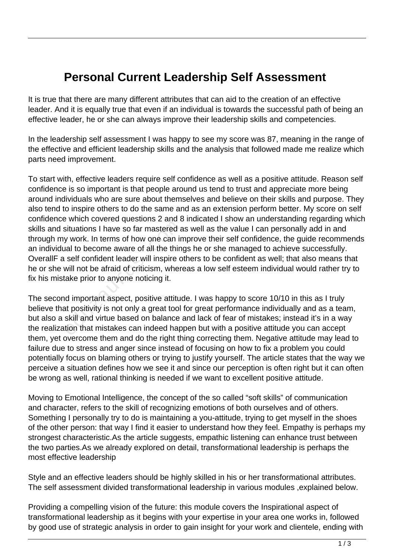## **Personal Current Leadership Self Assessment**

It is true that there are many different attributes that can aid to the creation of an effective leader. And it is equally true that even if an individual is towards the successful path of being an effective leader, he or she can always improve their leadership skills and competencies.

In the leadership self assessment I was happy to see my score was 87, meaning in the range of the effective and efficient leadership skills and the analysis that followed made me realize which parts need improvement.

To start with, effective leaders require self confidence as well as a positive attitude. Reason self confidence is so important is that people around us tend to trust and appreciate more being around individuals who are sure about themselves and believe on their skills and purpose. They also tend to inspire others to do the same and as an extension perform better. My score on self confidence which covered questions 2 and 8 indicated I show an understanding regarding which skills and situations I have so far mastered as well as the value I can personally add in and through my work. In terms of how one can improve their self confidence, the guide recommends an individual to become aware of all the things he or she managed to achieve successfully. OverallF a self confident leader will inspire others to be confident as well; that also means that he or she will not be afraid of criticism, whereas a low self esteem individual would rather try to fix his mistake prior to anyone noticing it. is ituations I have so far mastered a<br>gituations I have so far mastered a<br>gituations I have so far mastered a<br>individual to become aware of all the thin<br>self confident leader will inspire o<br>will not be afraid of criticism,

The second important aspect, positive attitude. I was happy to score 10/10 in this as I truly believe that positivity is not only a great tool for great performance individually and as a team, but also a skill and virtue based on balance and lack of fear of mistakes; instead it's in a way the realization that mistakes can indeed happen but with a positive attitude you can accept them, yet overcome them and do the right thing correcting them. Negative attitude may lead to failure due to stress and anger since instead of focusing on how to fix a problem you could potentially focus on blaming others or trying to justify yourself. The article states that the way we perceive a situation defines how we see it and since our perception is often right but it can often be wrong as well, rational thinking is needed if we want to excellent positive attitude.

Moving to Emotional Intelligence, the concept of the so called "soft skills" of communication and character, refers to the skill of recognizing emotions of both ourselves and of others. Something I personally try to do is maintaining a you-attitude, trying to get myself in the shoes of the other person: that way I find it easier to understand how they feel. Empathy is perhaps my strongest characteristic.As the article suggests, empathic listening can enhance trust between the two parties.As we already explored on detail, transformational leadership is perhaps the most effective leadership

Style and an effective leaders should be highly skilled in his or her transformational attributes. The self assessment divided transformational leadership in various modules ,explained below.

Providing a compelling vision of the future: this module covers the Inspirational aspect of transformational leadership as it begins with your expertise in your area one works in, followed by good use of strategic analysis in order to gain insight for your work and clientele, ending with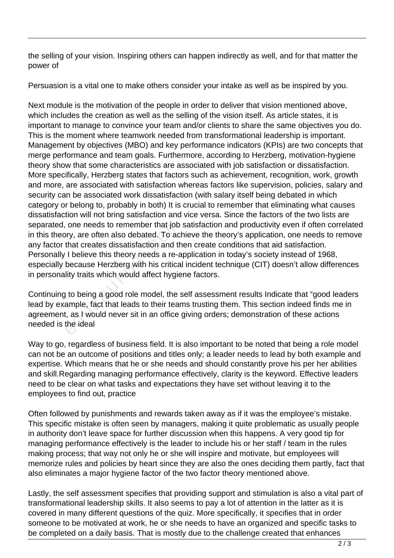the selling of your vision. Inspiring others can happen indirectly as well, and for that matter the power of

Persuasion is a vital one to make others consider your intake as well as be inspired by you.

Next module is the motivation of the people in order to deliver that vision mentioned above, which includes the creation as well as the selling of the vision itself. As article states, it is important to manage to convince your team and/or clients to share the same objectives you do. This is the moment where teamwork needed from transformational leadership is important. Management by objectives (MBO) and key performance indicators (KPIs) are two concepts that merge performance and team goals. Furthermore, according to Herzberg, motivation-hygiene theory show that some characteristics are associated with job satisfaction or dissatisfaction. More specifically, Herzberg states that factors such as achievement, recognition, work, growth and more, are associated with satisfaction whereas factors like supervision, policies, salary and security can be associated work dissatisfaction (with salary itself being debated in which category or belong to, probably in both) It is crucial to remember that eliminating what causes dissatisfaction will not bring satisfaction and vice versa. Since the factors of the two lists are separated, one needs to remember that job satisfaction and productivity even if often correlated in this theory, are often also debated. To achieve the theory's application, one needs to remove any factor that creates dissatisfaction and then create conditions that aid satisfaction. Personally I believe this theory needs a re-application in today's society instead of 1968, especially because Herzberg with his critical incident technique (CIT) doesn't allow differences in personality traits which would affect hygiene factors. one needs to remember that job<br>pry, are often also debated. To act<br>that creates dissatisfaction and the<br>produce this theory needs a re-a<br>because Herzberg with his critical<br>lity traits which would affect hygie<br>is to being a

Continuing to being a good role model, the self assessment results Indicate that "good leaders lead by example, fact that leads to their teams trusting them. This section indeed finds me in agreement, as I would never sit in an office giving orders; demonstration of these actions needed is the ideal

Way to go, regardless of business field. It is also important to be noted that being a role model can not be an outcome of positions and titles only; a leader needs to lead by both example and expertise. Which means that he or she needs and should constantly prove his per her abilities and skill.Regarding managing performance effectively, clarity is the keyword. Effective leaders need to be clear on what tasks and expectations they have set without leaving it to the employees to find out, practice

Often followed by punishments and rewards taken away as if it was the employee's mistake. This specific mistake is often seen by managers, making it quite problematic as usually people in authority don't leave space for further discussion when this happens. A very good tip for managing performance effectively is the leader to include his or her staff / team in the rules making process; that way not only he or she will inspire and motivate, but employees will memorize rules and policies by heart since they are also the ones deciding them partly, fact that also eliminates a major hygiene factor of the two factor theory mentioned above.

Lastly, the self assessment specifies that providing support and stimulation is also a vital part of transformational leadership skills. It also seems to pay a lot of attention in the latter as it is covered in many different questions of the quiz. More specifically, it specifies that in order someone to be motivated at work, he or she needs to have an organized and specific tasks to be completed on a daily basis. That is mostly due to the challenge created that enhances